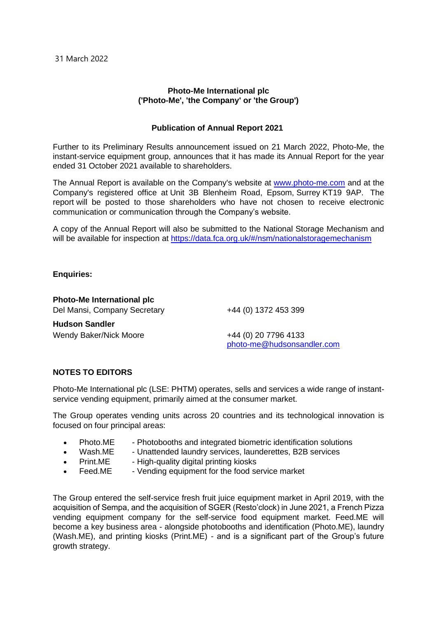## **Photo-Me International plc ('Photo**‐**Me', 'the Company' or 'the Group')**

## **Publication of Annual Report 2021**

Further to its Preliminary Results announcement issued on 21 March 2022, Photo-Me, the instant-service equipment group, announces that it has made its Annual Report for the year ended 31 October 2021 available to shareholders.

The Annual Report is available on the Company's website at [www.photo-me.com](http://www.photo-me.com/) and at the Company's registered office at Unit 3B Blenheim Road, Epsom, Surrey KT19 9AP. The report will be posted to those shareholders who have not chosen to receive electronic communication or communication through the Company's website.

A copy of the Annual Report will also be submitted to the National Storage Mechanism and will be available for inspection at https://data.fca.org.uk/#/nsm/nationalstoragemechanism

## **Enquiries:**

**Photo-Me International plc**

Del Mansi, Company Secretary +44 (0) 1372 453 399

**Hudson Sandler** Wendy Baker/Nick Moore +44 (0) 20 7796 4133

[photo-me@hudsonsandler.com](mailto:photo-me@hudsonsandler.com)

## **NOTES TO EDITORS**

Photo-Me International plc (LSE: PHTM) operates, sells and services a wide range of instantservice vending equipment, primarily aimed at the consumer market.

The Group operates vending units across 20 countries and its technological innovation is focused on four principal areas:

- Photo.ME Photobooths and integrated biometric identification solutions
- Wash.ME Unattended laundry services, launderettes, B2B services
- Print.ME High-quality digital printing kiosks
- - Feed.ME Vending equipment for the food service market

The Group entered the self-service fresh fruit juice equipment market in April 2019, with the acquisition of Sempa, and the acquisition of SGER (Resto'clock) in June 2021, a French Pizza vending equipment company for the self-service food equipment market. Feed.ME will become a key business area - alongside photobooths and identification (Photo.ME), laundry (Wash.ME), and printing kiosks (Print.ME) - and is a significant part of the Group's future growth strategy.